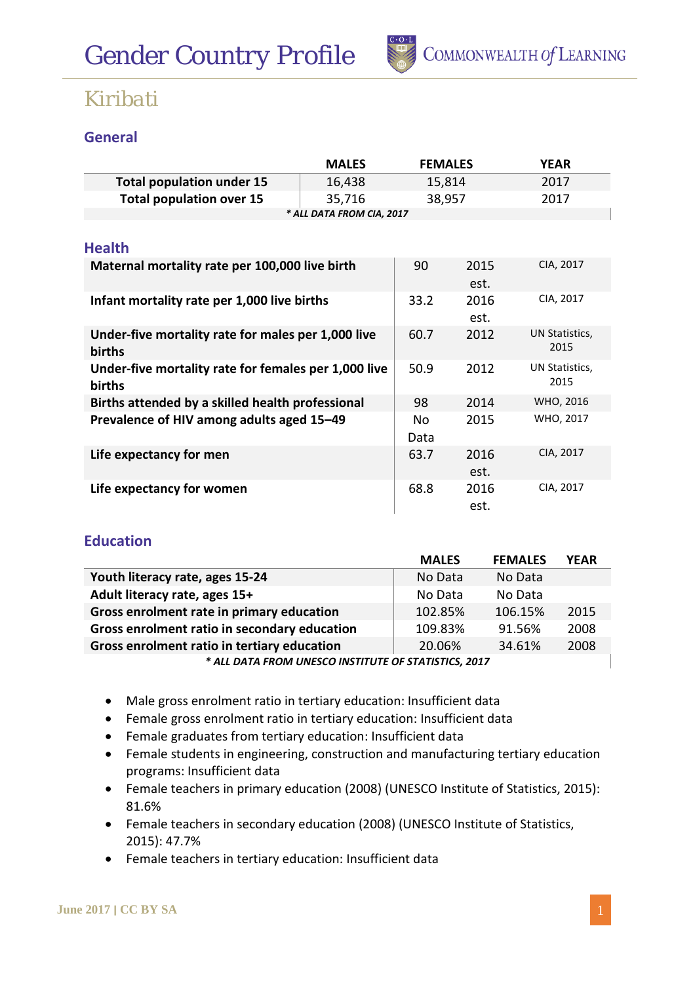

#### **General**

|                                                      | <b>MALES</b> | <b>FEMALES</b> |      | <b>YEAR</b>    |  |  |
|------------------------------------------------------|--------------|----------------|------|----------------|--|--|
| <b>Total population under 15</b>                     | 16,438       | 15,814         |      | 2017           |  |  |
| <b>Total population over 15</b>                      | 35,716       | 38,957         |      | 2017           |  |  |
| * ALL DATA FROM CIA, 2017                            |              |                |      |                |  |  |
|                                                      |              |                |      |                |  |  |
| <b>Health</b>                                        |              |                |      |                |  |  |
| Maternal mortality rate per 100,000 live birth       |              | 90             | 2015 | CIA, 2017      |  |  |
|                                                      |              |                | est. |                |  |  |
| Infant mortality rate per 1,000 live births          |              | 33.2           | 2016 | CIA, 2017      |  |  |
|                                                      |              |                | est. |                |  |  |
| Under-five mortality rate for males per 1,000 live   |              | 60.7           | 2012 | UN Statistics, |  |  |
| <b>births</b>                                        |              |                |      | 2015           |  |  |
| Under-five mortality rate for females per 1,000 live |              | 50.9           | 2012 | UN Statistics, |  |  |
| births                                               |              |                |      | 2015           |  |  |
| Births attended by a skilled health professional     |              | 98             | 2014 | WHO, 2016      |  |  |
| Prevalence of HIV among adults aged 15-49            |              | No             | 2015 | WHO, 2017      |  |  |
|                                                      |              | Data           |      |                |  |  |
| Life expectancy for men                              |              | 63.7           | 2016 | CIA, 2017      |  |  |
|                                                      |              |                | est. |                |  |  |
| Life expectancy for women                            |              | 68.8           | 2016 | CIA, 2017      |  |  |
|                                                      |              |                | est. |                |  |  |

#### **Education**

|                                                      | <b>MALES</b> | <b>FEMALES</b> | <b>YEAR</b> |  |  |  |
|------------------------------------------------------|--------------|----------------|-------------|--|--|--|
| Youth literacy rate, ages 15-24                      | No Data      | No Data        |             |  |  |  |
| Adult literacy rate, ages 15+                        | No Data      | No Data        |             |  |  |  |
| Gross enrolment rate in primary education            | 102.85%      | 106.15%        | 2015        |  |  |  |
| Gross enrolment ratio in secondary education         | 109.83%      | 91.56%         | 2008        |  |  |  |
| Gross enrolment ratio in tertiary education          | 20.06%       | 34.61%         | 2008        |  |  |  |
| * ALL DATA FROM UNESCO INSTITUTE OF STATISTICS, 2017 |              |                |             |  |  |  |

- Male gross enrolment ratio in tertiary education: Insufficient data
- Female gross enrolment ratio in tertiary education: Insufficient data
- Female graduates from tertiary education: Insufficient data
- Female students in engineering, construction and manufacturing tertiary education programs: Insufficient data
- Female teachers in primary education (2008) (UNESCO Institute of Statistics, 2015): 81.6%
- Female teachers in secondary education (2008) (UNESCO Institute of Statistics, 2015): 47.7%
- Female teachers in tertiary education: Insufficient data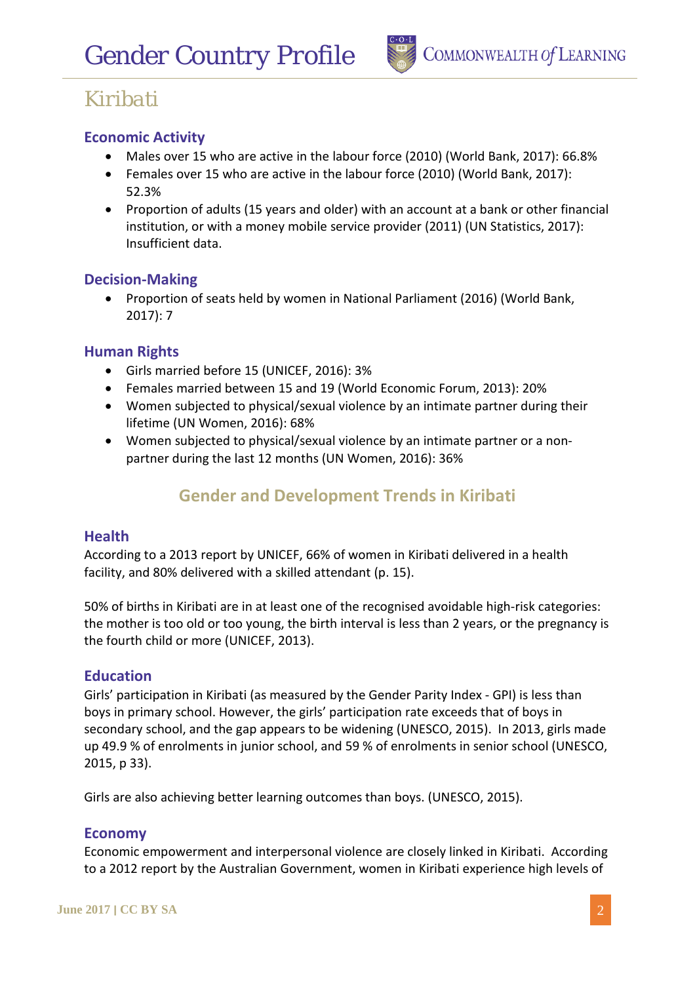

#### **Economic Activity**

- Males over 15 who are active in the labour force (2010) (World Bank, 2017): 66.8%
- Females over 15 who are active in the labour force (2010) (World Bank, 2017): 52.3%
- Proportion of adults (15 years and older) with an account at a bank or other financial institution, or with a money mobile service provider (2011) (UN Statistics, 2017): Insufficient data.

#### **Decision-Making**

• Proportion of seats held by women in National Parliament (2016) (World Bank, 2017): 7

#### **Human Rights**

- Girls married before 15 (UNICEF, 2016): 3%
- Females married between 15 and 19 (World Economic Forum, 2013): 20%
- Women subjected to physical/sexual violence by an intimate partner during their lifetime (UN Women, 2016): 68%
- Women subjected to physical/sexual violence by an intimate partner or a nonpartner during the last 12 months (UN Women, 2016): 36%

### **Gender and Development Trends in Kiribati**

#### **Health**

According to a 2013 report by UNICEF, 66% of women in Kiribati delivered in a health facility, and 80% delivered with a skilled attendant (p. 15).

50% of births in Kiribati are in at least one of the recognised avoidable high-risk categories: the mother is too old or too young, the birth interval is less than 2 years, or the pregnancy is the fourth child or more (UNICEF, 2013).

#### **Education**

Girls' participation in Kiribati (as measured by the Gender Parity Index - GPI) is less than boys in primary school. However, the girls' participation rate exceeds that of boys in secondary school, and the gap appears to be widening (UNESCO, 2015). In 2013, girls made up 49.9 % of enrolments in junior school, and 59 % of enrolments in senior school (UNESCO, 2015, p 33).

Girls are also achieving better learning outcomes than boys. (UNESCO, 2015).

#### **Economy**

Economic empowerment and interpersonal violence are closely linked in Kiribati. According to a 2012 report by the Australian Government, women in Kiribati experience high levels of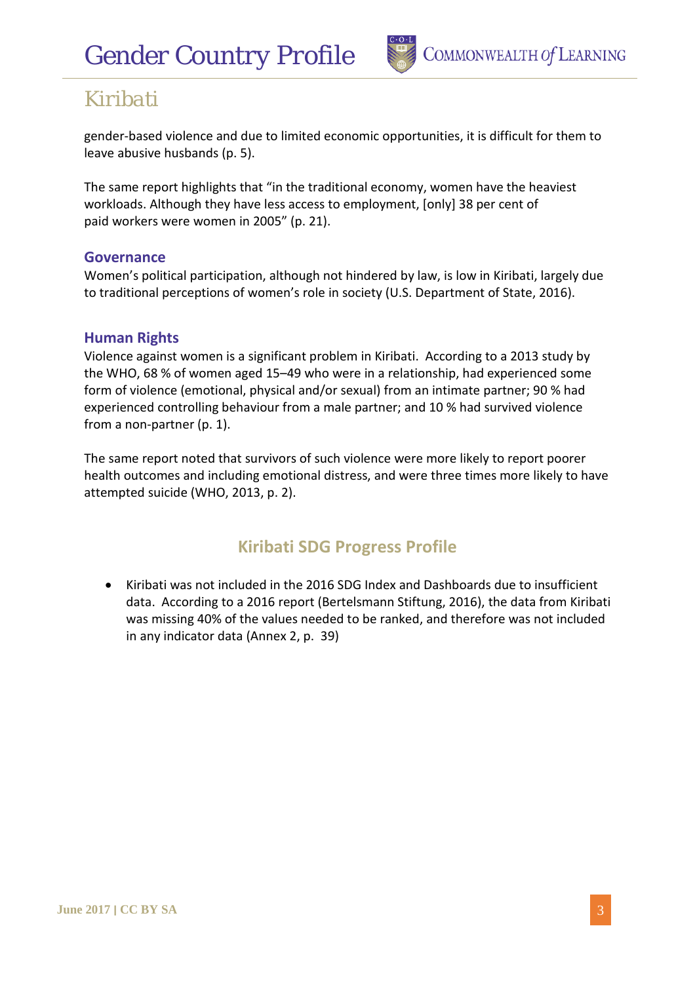

gender-based violence and due to limited economic opportunities, it is difficult for them to leave abusive husbands (p. 5).

The same report highlights that "in the traditional economy, women have the heaviest workloads. Although they have less access to employment, [only] 38 per cent of paid workers were women in 2005" (p. 21).

#### **Governance**

Women's political participation, although not hindered by law, is low in Kiribati, largely due to traditional perceptions of women's role in society (U.S. Department of State, 2016).

#### **Human Rights**

Violence against women is a significant problem in Kiribati. According to a 2013 study by the WHO, 68 % of women aged 15–49 who were in a relationship, had experienced some form of violence (emotional, physical and/or sexual) from an intimate partner; 90 % had experienced controlling behaviour from a male partner; and 10 % had survived violence from a non-partner (p. 1).

The same report noted that survivors of such violence were more likely to report poorer health outcomes and including emotional distress, and were three times more likely to have attempted suicide (WHO, 2013, p. 2).

## **Kiribati SDG Progress Profile**

• Kiribati was not included in the 2016 SDG Index and Dashboards due to insufficient data. According to a 2016 report (Bertelsmann Stiftung, 2016), the data from Kiribati was missing 40% of the values needed to be ranked, and therefore was not included in any indicator data (Annex 2, p. 39)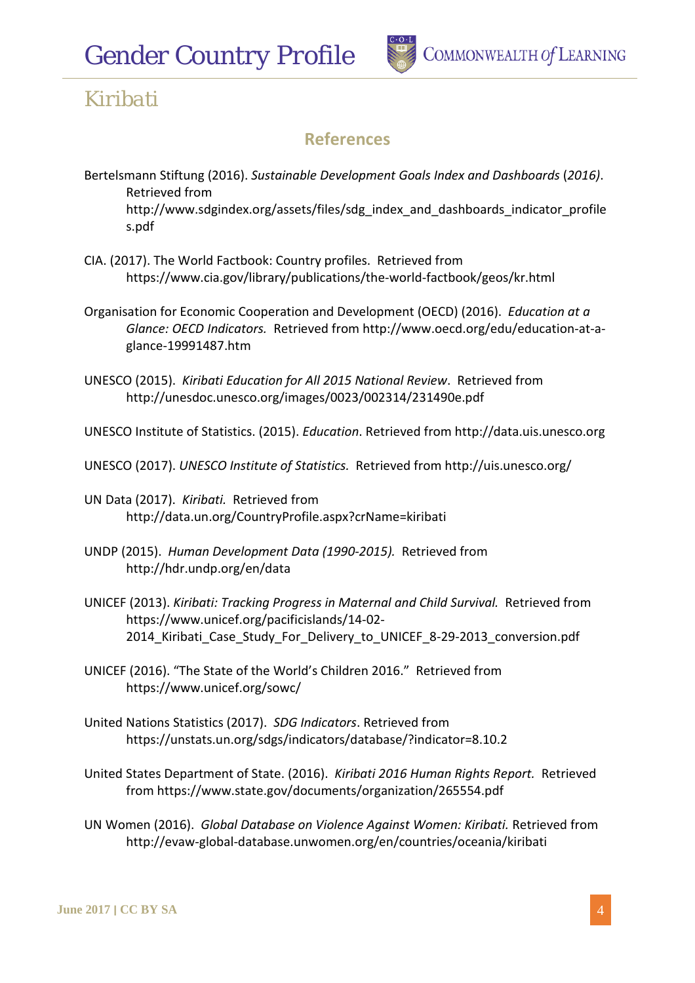# *Gender Country Profile*



## *Kiribati*

## **References**

- Bertelsmann Stiftung (2016). *Sustainable Development Goals Index and Dashboards* (*2016)*. Retrieved from http://www.sdgindex.org/assets/files/sdg\_index\_and\_dashboards\_indicator\_profile s.pdf
- CIA. (2017). The World Factbook: Country profiles. Retrieved from https://www.cia.gov/library/publications/the-world-factbook/geos/kr.html
- Organisation for Economic Cooperation and Development (OECD) (2016). *Education at a Glance: OECD Indicators.* Retrieved from http://www.oecd.org/edu/education-at-aglance-19991487.htm
- UNESCO (2015). *Kiribati Education for All 2015 National Review*. Retrieved from http://unesdoc.unesco.org/images/0023/002314/231490e.pdf

UNESCO Institute of Statistics. (2015). *Education*. Retrieved from http://data.uis.unesco.org

- UNESCO (2017). *UNESCO Institute of Statistics.* Retrieved from http://uis.unesco.org/
- UN Data (2017). *Kiribati.* Retrieved from http://data.un.org/CountryProfile.aspx?crName=kiribati
- UNDP (2015). *Human Development Data (1990-2015).* Retrieved from http://hdr.undp.org/en/data
- UNICEF (2013). *Kiribati: Tracking Progress in Maternal and Child Survival.* Retrieved from https://www.unicef.org/pacificislands/14-02- 2014\_Kiribati\_Case\_Study\_For\_Delivery\_to\_UNICEF\_8-29-2013\_conversion.pdf
- UNICEF (2016). "The State of the World's Children 2016." Retrieved from https://www.unicef.org/sowc/
- United Nations Statistics (2017). *SDG Indicators*. Retrieved from https://unstats.un.org/sdgs/indicators/database/?indicator=8.10.2
- United States Department of State. (2016). *Kiribati 2016 Human Rights Report.* Retrieved from https://www.state.gov/documents/organization/265554.pdf
- UN Women (2016). *Global Database on Violence Against Women: Kiribati.* Retrieved from http://evaw-global-database.unwomen.org/en/countries/oceania/kiribati